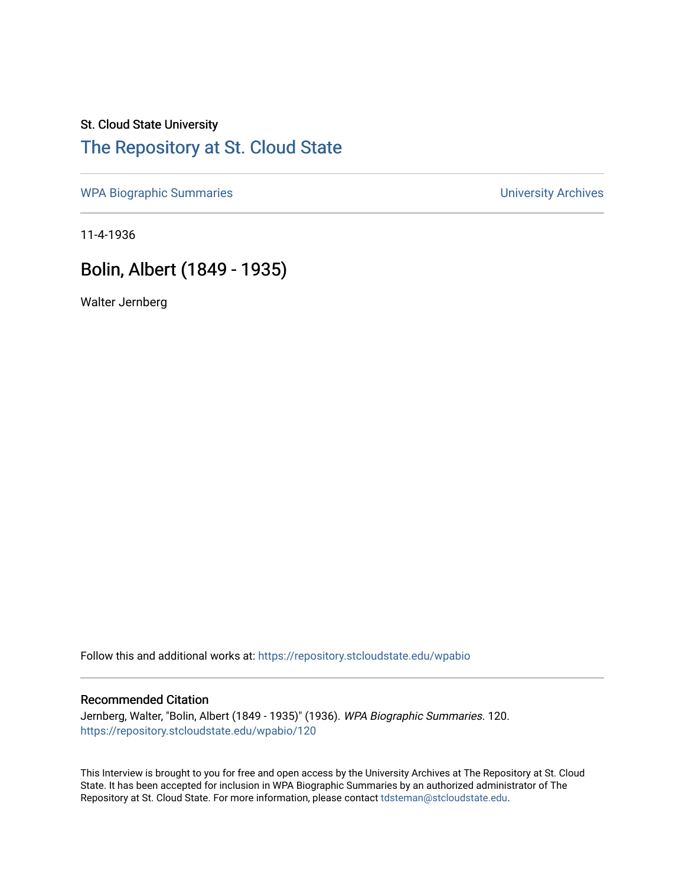## St. Cloud State University [The Repository at St. Cloud State](https://repository.stcloudstate.edu/)

[WPA Biographic Summaries](https://repository.stcloudstate.edu/wpabio) **WPA Biographic Summaries University Archives** 

11-4-1936

# Bolin, Albert (1849 - 1935)

Walter Jernberg

Follow this and additional works at: [https://repository.stcloudstate.edu/wpabio](https://repository.stcloudstate.edu/wpabio?utm_source=repository.stcloudstate.edu%2Fwpabio%2F120&utm_medium=PDF&utm_campaign=PDFCoverPages) 

#### Recommended Citation

Jernberg, Walter, "Bolin, Albert (1849 - 1935)" (1936). WPA Biographic Summaries. 120. [https://repository.stcloudstate.edu/wpabio/120](https://repository.stcloudstate.edu/wpabio/120?utm_source=repository.stcloudstate.edu%2Fwpabio%2F120&utm_medium=PDF&utm_campaign=PDFCoverPages) 

This Interview is brought to you for free and open access by the University Archives at The Repository at St. Cloud State. It has been accepted for inclusion in WPA Biographic Summaries by an authorized administrator of The Repository at St. Cloud State. For more information, please contact [tdsteman@stcloudstate.edu.](mailto:tdsteman@stcloudstate.edu)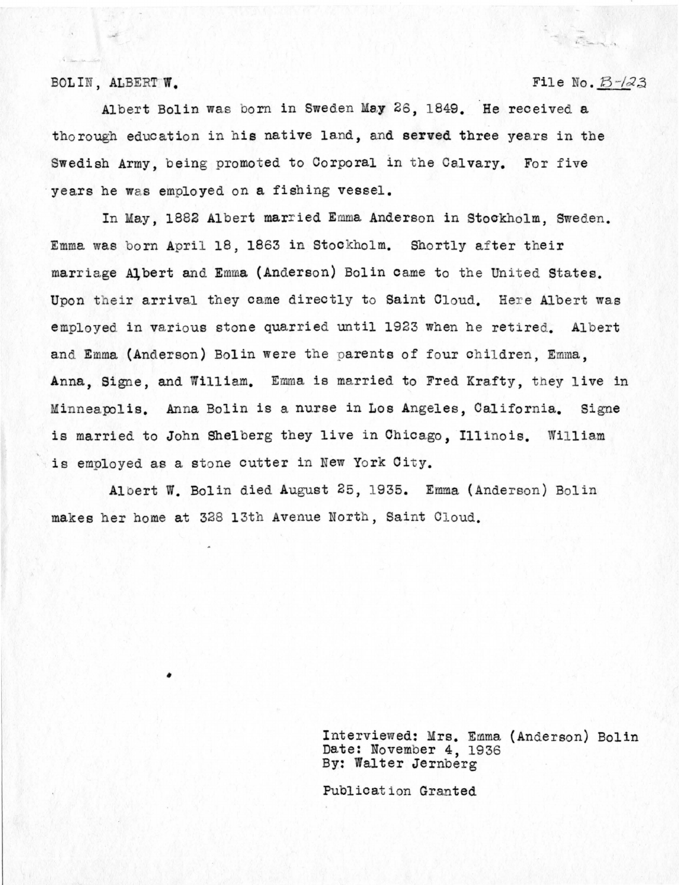### $BOLIN, ALBERTW.$  File No.  $B$  -/23

; . ......

Albert Bolin was born in Sweden May 26, 1849. He received a thorough education in his native land, and **served** three years in the Swedish Army, being promoted to Corporal in the Calvary. For five years he was employed on a fishing vessel.

In May, 1882 Albert married Emma Anderson in Stockholm, Sweden. Emma was born April 18, 1863 in Stockholm. Shortly after their marriage Albert and Emma (Anderson) Bolin came to the United States. Upon their arrival they came directly to Saint Cloud. Here Albert was employed in various stone quarried until 1923 when he retired. Albert and Emma (Anderson) Bolin were the parents of four children, Emma, **Anna,** Signe, and William. Emma is married to Fred Krafty, they live in Minnea polis. Anna Bolin is a nurse in Los Angeles, California. Signe is married to John Shelberg they live in Chicago, Illinois. William is employed as a stone cutter in New York City.

Albert W. Bolin died August 25, 1935. Emma (Anderson) Bolin makes her home at 328 13th Avenue Nortn, Saint Cloud.

> Interviewed: Mrs. Emma (Anderson) Bolin Date: November 4, 1936 By: Walter Jernberg

Publication Granted